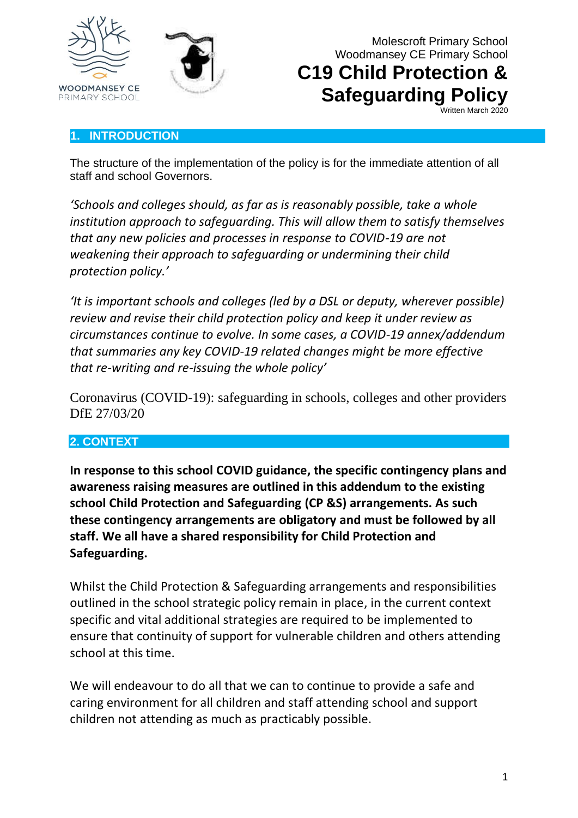





**Safeguarding Policy**

Written March 2020

#### **1. INTRODUCTION**

The structure of the implementation of the policy is for the immediate attention of all staff and school Governors.

*'Schools and colleges should, as far as is reasonably possible, take a whole institution approach to safeguarding. This will allow them to satisfy themselves that any new policies and processes in response to COVID-19 are not weakening their approach to safeguarding or undermining their child protection policy.'*

*'It is important schools and colleges (led by a DSL or deputy, wherever possible) review and revise their child protection policy and keep it under review as circumstances continue to evolve. In some cases, a COVID-19 annex/addendum that summaries any key COVID-19 related changes might be more effective that re-writing and re-issuing the whole policy'*

Coronavirus (COVID-19): safeguarding in schools, colleges and other providers DfE 27/03/20

#### **2. CONTEXT**

**In response to this school COVID guidance, the specific contingency plans and awareness raising measures are outlined in this addendum to the existing school Child Protection and Safeguarding (CP &S) arrangements. As such these contingency arrangements are obligatory and must be followed by all staff. We all have a shared responsibility for Child Protection and Safeguarding.**

Whilst the Child Protection & Safeguarding arrangements and responsibilities outlined in the school strategic policy remain in place, in the current context specific and vital additional strategies are required to be implemented to ensure that continuity of support for vulnerable children and others attending school at this time.

We will endeavour to do all that we can to continue to provide a safe and caring environment for all children and staff attending school and support children not attending as much as practicably possible.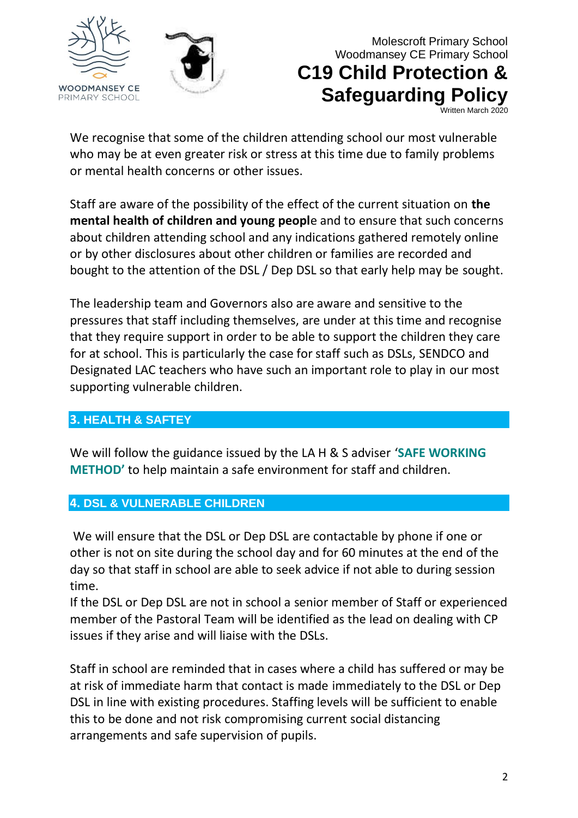



### Molescroft Primary School Woodmansey CE Primary School **C19 Child Protection & Safeguarding Policy** Written March 2020

We recognise that some of the children attending school our most vulnerable who may be at even greater risk or stress at this time due to family problems or mental health concerns or other issues.

Staff are aware of the possibility of the effect of the current situation on **the mental health of children and young peopl**e and to ensure that such concerns about children attending school and any indications gathered remotely online or by other disclosures about other children or families are recorded and bought to the attention of the DSL / Dep DSL so that early help may be sought.

The leadership team and Governors also are aware and sensitive to the pressures that staff including themselves, are under at this time and recognise that they require support in order to be able to support the children they care for at school. This is particularly the case for staff such as DSLs, SENDCO and Designated LAC teachers who have such an important role to play in our most supporting vulnerable children.

### **3. HEALTH & SAFTEY**

We will follow the guidance issued by the LA H & S adviser '**SAFE WORKING METHOD'** to help maintain a safe environment for staff and children.

### **4. DSL & VULNERABLE CHILDREN**

We will ensure that the DSL or Dep DSL are contactable by phone if one or other is not on site during the school day and for 60 minutes at the end of the day so that staff in school are able to seek advice if not able to during session time.

If the DSL or Dep DSL are not in school a senior member of Staff or experienced member of the Pastoral Team will be identified as the lead on dealing with CP issues if they arise and will liaise with the DSLs.

Staff in school are reminded that in cases where a child has suffered or may be at risk of immediate harm that contact is made immediately to the DSL or Dep DSL in line with existing procedures. Staffing levels will be sufficient to enable this to be done and not risk compromising current social distancing arrangements and safe supervision of pupils.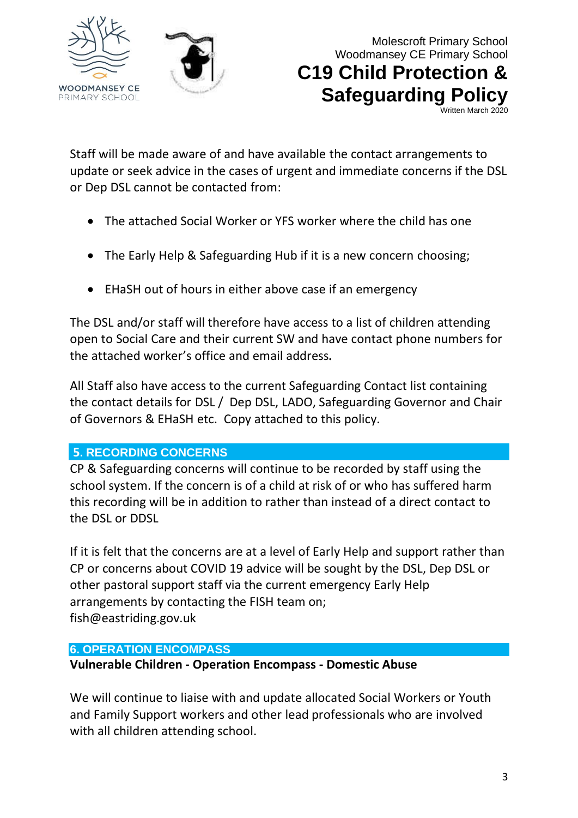



Written March 2020

Staff will be made aware of and have available the contact arrangements to update or seek advice in the cases of urgent and immediate concerns if the DSL or Dep DSL cannot be contacted from:

- The attached Social Worker or YFS worker where the child has one
- The Early Help & Safeguarding Hub if it is a new concern choosing;
- EHaSH out of hours in either above case if an emergency

The DSL and/or staff will therefore have access to a list of children attending open to Social Care and their current SW and have contact phone numbers for the attached worker's office and email address**.**

All Staff also have access to the current Safeguarding Contact list containing the contact details for DSL / Dep DSL, LADO, Safeguarding Governor and Chair of Governors & EHaSH etc. Copy attached to this policy.

### **5. RECORDING CONCERNS**

CP & Safeguarding concerns will continue to be recorded by staff using the school system. If the concern is of a child at risk of or who has suffered harm this recording will be in addition to rather than instead of a direct contact to the DSL or DDSL

If it is felt that the concerns are at a level of Early Help and support rather than CP or concerns about COVID 19 advice will be sought by the DSL, Dep DSL or other pastoral support staff via the current emergency Early Help arrangements by contacting the FISH team on; fish@eastriding.gov.uk

#### **6. OPERATION ENCOMPASS**

### **Vulnerable Children - Operation Encompass - Domestic Abuse**

We will continue to liaise with and update allocated Social Workers or Youth and Family Support workers and other lead professionals who are involved with all children attending school.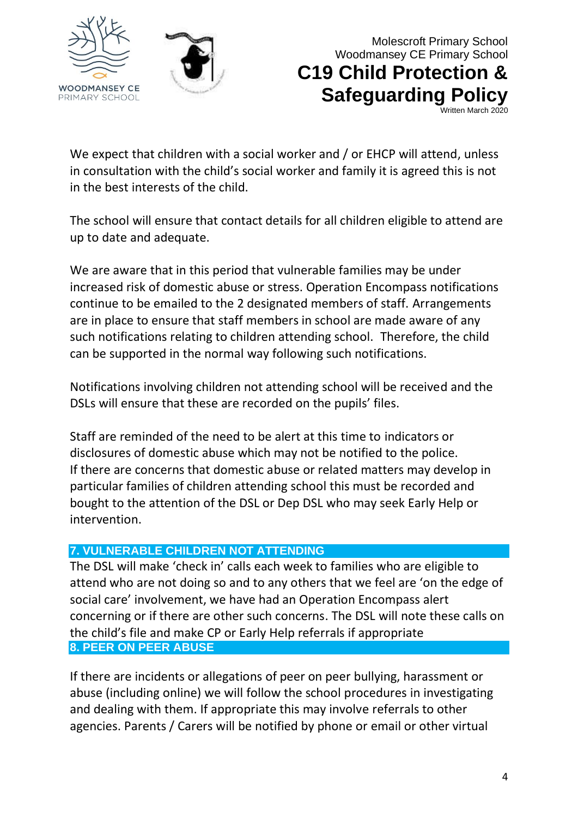



## Molescroft Primary School Woodmansey CE Primary School **C19 Child Protection & Safeguarding Policy**

Written March 2020

We expect that children with a social worker and / or EHCP will attend, unless in consultation with the child's social worker and family it is agreed this is not in the best interests of the child.

The school will ensure that contact details for all children eligible to attend are up to date and adequate.

We are aware that in this period that vulnerable families may be under increased risk of domestic abuse or stress. Operation Encompass notifications continue to be emailed to the 2 designated members of staff. Arrangements are in place to ensure that staff members in school are made aware of any such notifications relating to children attending school. Therefore, the child can be supported in the normal way following such notifications.

Notifications involving children not attending school will be received and the DSLs will ensure that these are recorded on the pupils' files.

Staff are reminded of the need to be alert at this time to indicators or disclosures of domestic abuse which may not be notified to the police. If there are concerns that domestic abuse or related matters may develop in particular families of children attending school this must be recorded and bought to the attention of the DSL or Dep DSL who may seek Early Help or intervention.

#### **7. VULNERABLE CHILDREN NOT ATTENDING**

The DSL will make 'check in' calls each week to families who are eligible to attend who are not doing so and to any others that we feel are 'on the edge of social care' involvement, we have had an Operation Encompass alert concerning or if there are other such concerns. The DSL will note these calls on the child's file and make CP or Early Help referrals if appropriate **8. PEER ON PEER ABUSE**

If there are incidents or allegations of peer on peer bullying, harassment or abuse (including online) we will follow the school procedures in investigating and dealing with them. If appropriate this may involve referrals to other agencies. Parents / Carers will be notified by phone or email or other virtual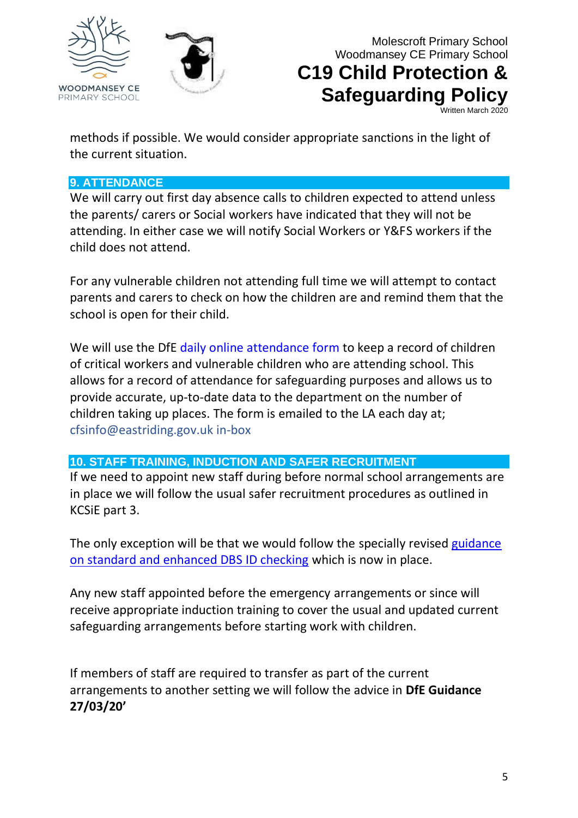



**Safeguarding Policy** Written March 2020

methods if possible. We would consider appropriate sanctions in the light of the current situation.

#### **9. ATTENDANCE**

We will carry out first day absence calls to children expected to attend unless the parents/ carers or Social workers have indicated that they will not be attending. In either case we will notify Social Workers or Y&FS workers if the child does not attend.

For any vulnerable children not attending full time we will attempt to contact parents and carers to check on how the children are and remind them that the school is open for their child.

We will use the DfE [daily online attendance form](https://www.gov.uk/government/publications/coronavirus-covid-19-attendance-recording-for-educational-settings) to keep a record of children of critical workers and vulnerable children who are attending school. This allows for a record of attendance for safeguarding purposes and allows us to provide accurate, up-to-date data to the department on the number of children taking up places. The form is emailed to the LA each day at; cfsinfo@eastriding.gov.uk in-box

#### **10. STAFF TRAINING, INDUCTION AND SAFER RECRUITMENT**

If we need to appoint new staff during before normal school arrangements are in place we will follow the usual safer recruitment procedures as outlined in KCSiE part 3.

The only exception will be that we would follow the specially revised guidance [on standard and enhanced DBS ID checking](https://www.gov.uk/government/news/covid-19-changes-to-standard-and-enhanced-id-checking-guidelines) which is now in place.

Any new staff appointed before the emergency arrangements or since will receive appropriate induction training to cover the usual and updated current safeguarding arrangements before starting work with children.

If members of staff are required to transfer as part of the current arrangements to another setting we will follow the advice in **DfE Guidance 27/03/20'**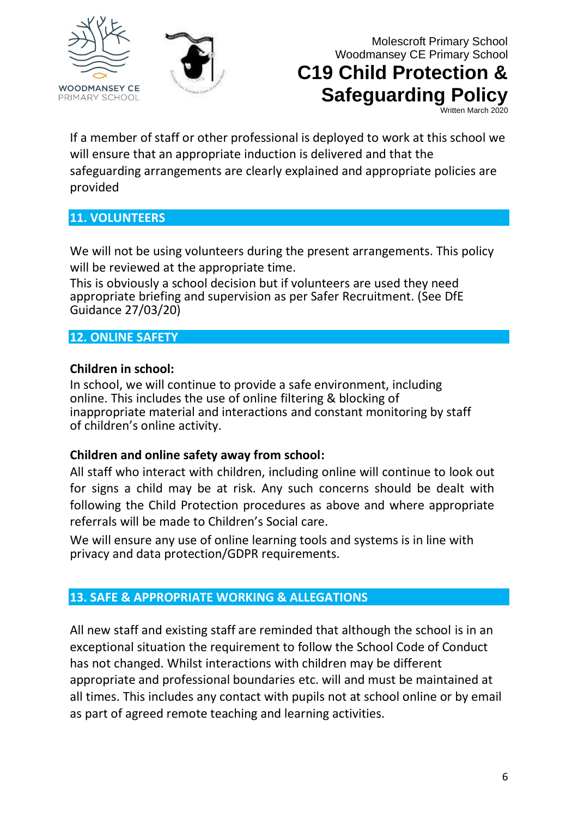



# **C19 Child Protection & Safeguarding Policy**

Written March 2020

If a member of staff or other professional is deployed to work at this school we will ensure that an appropriate induction is delivered and that the safeguarding arrangements are clearly explained and appropriate policies are provided

#### **11. VOLUNTEERS**

We will not be using volunteers during the present arrangements. This policy will be reviewed at the appropriate time.

This is obviously a school decision but if volunteers are used they need appropriate briefing and supervision as per Safer Recruitment. (See DfE Guidance 27/03/20)

### **12. ONLINE SAFETY**

#### **Children in school:**

In school, we will continue to provide a safe environment, including online. This includes the use of online filtering & blocking of inappropriate material and interactions and constant monitoring by staff of children's online activity.

#### **Children and online safety away from school:**

All staff who interact with children, including online will continue to look out for signs a child may be at risk. Any such concerns should be dealt with following the Child Protection procedures as above and where appropriate referrals will be made to Children's Social care.

We will ensure any use of online learning tools and systems is in line with privacy and data protection/GDPR requirements.

#### **13. SAFE & APPROPRIATE WORKING & ALLEGATIONS**

All new staff and existing staff are reminded that although the school is in an exceptional situation the requirement to follow the School Code of Conduct has not changed. Whilst interactions with children may be different appropriate and professional boundaries etc. will and must be maintained at all times. This includes any contact with pupils not at school online or by email as part of agreed remote teaching and learning activities.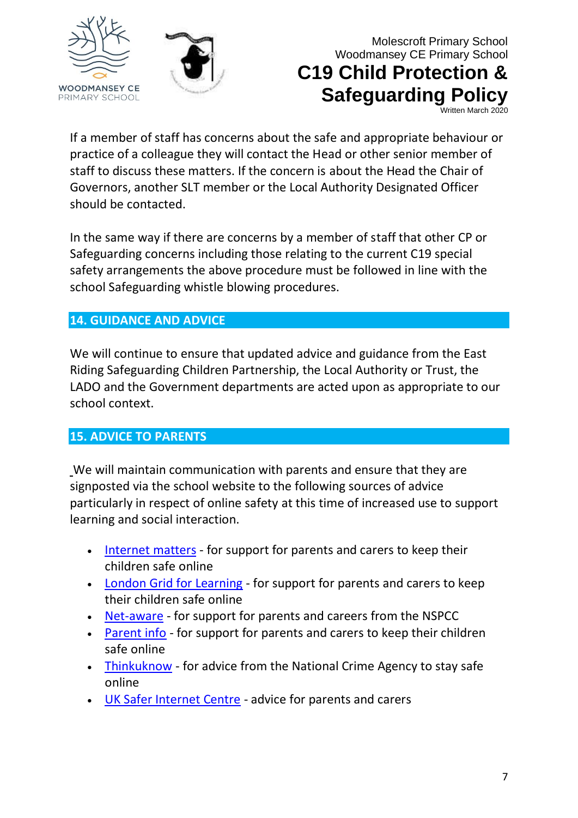



## Molescroft Primary School Woodmansey CE Primary School **C19 Child Protection & Safeguarding Policy**

Written March 2020

If a member of staff has concerns about the safe and appropriate behaviour or practice of a colleague they will contact the Head or other senior member of staff to discuss these matters. If the concern is about the Head the Chair of Governors, another SLT member or the Local Authority Designated Officer should be contacted.

In the same way if there are concerns by a member of staff that other CP or Safeguarding concerns including those relating to the current C19 special safety arrangements the above procedure must be followed in line with the school Safeguarding whistle blowing procedures.

### **14. GUIDANCE AND ADVICE**

We will continue to ensure that updated advice and guidance from the East Riding Safeguarding Children Partnership, the Local Authority or Trust, the LADO and the Government departments are acted upon as appropriate to our school context.

#### **15. ADVICE TO PARENTS**

We will maintain communication with parents and ensure that they are signposted via the school website to the following sources of advice particularly in respect of online safety at this time of increased use to support learning and social interaction.

- [Internet matters](https://www.internetmatters.org/?gclid=EAIaIQobChMIktuA5LWK2wIVRYXVCh2afg2aEAAYASAAEgIJ5vD_BwE) for support for parents and carers to keep their children safe online
- [London Grid for Learning](http://www.lgfl.net/online-safety/) for support for parents and carers to keep their children safe online
- [Net-aware](https://www.net-aware.org.uk/) for support for parents and careers from the NSPCC
- [Parent info](https://parentinfo.org/) for support for parents and carers to keep their children safe online
- [Thinkuknow](http://www.thinkuknow.co.uk/) for advice from the National Crime Agency to stay safe online
- [UK Safer Internet Centre](https://www.saferinternet.org.uk/advice-centre/parents-and-carers) advice for parents and carers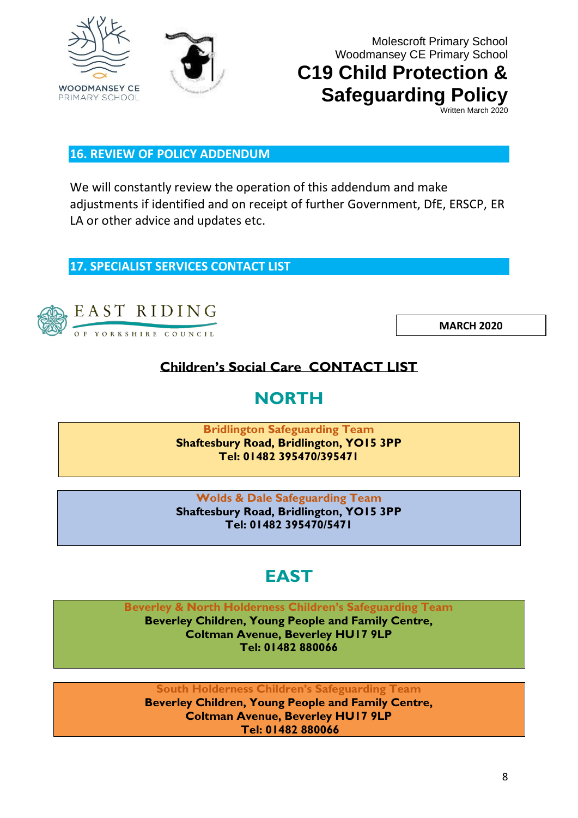



# **C19 Child Protection & Safeguarding Policy**

Written March 2020

#### **16. REVIEW OF POLICY ADDENDUM**

We will constantly review the operation of this addendum and make adjustments if identified and on receipt of further Government, DfE, ERSCP, ER LA or other advice and updates etc.

**17. SPECIALIST SERVICES CONTACT LIST**



OF YORKSHIRE COUNCIL

**MARCH 2020**

### **Children's Social Care CONTACT LIST**

# **NORTH**

**Bridlington Safeguarding Team Shaftesbury Road, Bridlington, YO15 3PP Tel: 01482 395470/395471** 

**Wolds & Dale Safeguarding Team Shaftesbury Road, Bridlington, YO15 3PP Tel: 01482 395470/5471** 

# **EAST**

**Beverley & North Holderness Children's Safeguarding Team** 

**Beverley Children, Young People and Family Centre, Coltman Avenue, Beverley HU17 9LP Tel: 01482 880066** 

**South Holderness Children's Safeguarding Team Beverley Children, Young People and Family Centre, Coltman Avenue, Beverley HU17 9LP Tel: 01482 880066**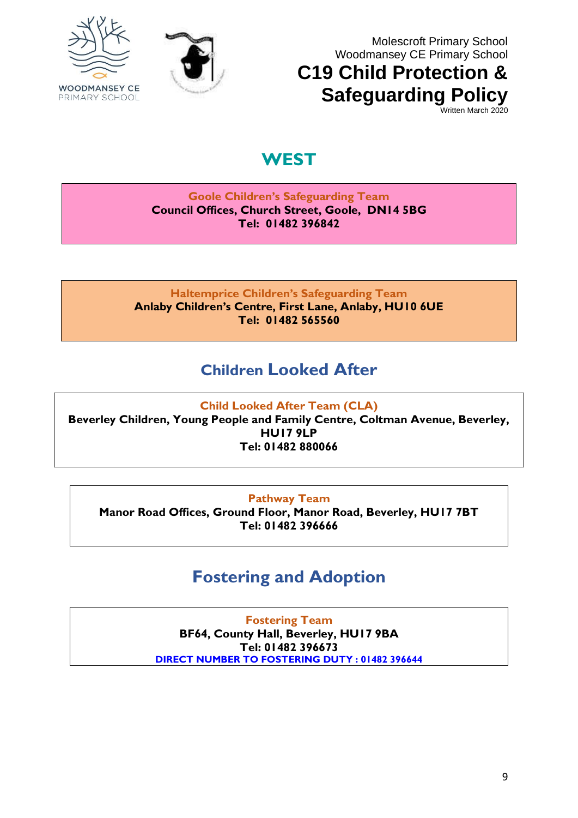



# **C19 Child Protection & Safeguarding Policy**

Written March 2020

## **WEST**

#### **Goole Children's Safeguarding Team Council Offices, Church Street, Goole, DN14 5BG Tel: 01482 396842**

**Haltemprice Children's Safeguarding Team Anlaby Children's Centre, First Lane, Anlaby, HU10 6UE Tel: 01482 565560** 

## **Children Looked After**

**Child Looked After Team (CLA) Beverley Children, Young People and Family Centre, Coltman Avenue, Beverley, HU17 9LP Tel: 01482 880066** 

#### **Pathway Team**

**Manor Road Offices, Ground Floor, Manor Road, Beverley, HU17 7BT Tel: 01482 396666** 

# **Fostering and Adoption**

**Fostering Team BF64, County Hall, Beverley, HU17 9BA Tel: 01482 396673 DIRECT NUMBER TO FOSTERING DUTY : 01482 396644**